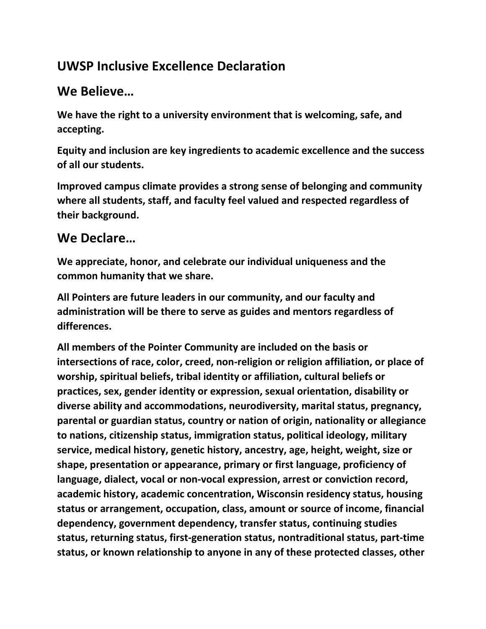## **UWSP Inclusive Excellence Declaration**

## **We Believe…**

**We have the right to a university environment that is welcoming, safe, and accepting.**

**Equity and inclusion are key ingredients to academic excellence and the success of all our students.**

**Improved campus climate provides a strong sense of belonging and community where all students, staff, and faculty feel valued and respected regardless of their background.** 

## **We Declare…**

**We appreciate, honor, and celebrate our individual uniqueness and the common humanity that we share.**

**All Pointers are future leaders in our community, and our faculty and administration will be there to serve as guides and mentors regardless of differences.**

**All members of the Pointer Community are included on the basis or intersections of race, color, creed, non-religion or religion affiliation, or place of worship, spiritual beliefs, tribal identity or affiliation, cultural beliefs or practices, sex, gender identity or expression, sexual orientation, disability or diverse ability and accommodations, neurodiversity, marital status, pregnancy, parental or guardian status, country or nation of origin, nationality or allegiance to nations, citizenship status, immigration status, political ideology, military service, medical history, genetic history, ancestry, age, height, weight, size or shape, presentation or appearance, primary or first language, proficiency of language, dialect, vocal or non-vocal expression, arrest or conviction record, academic history, academic concentration, Wisconsin residency status, housing status or arrangement, occupation, class, amount or source of income, financial dependency, government dependency, transfer status, continuing studies status, returning status, first-generation status, nontraditional status, part-time status, or known relationship to anyone in any of these protected classes, other**